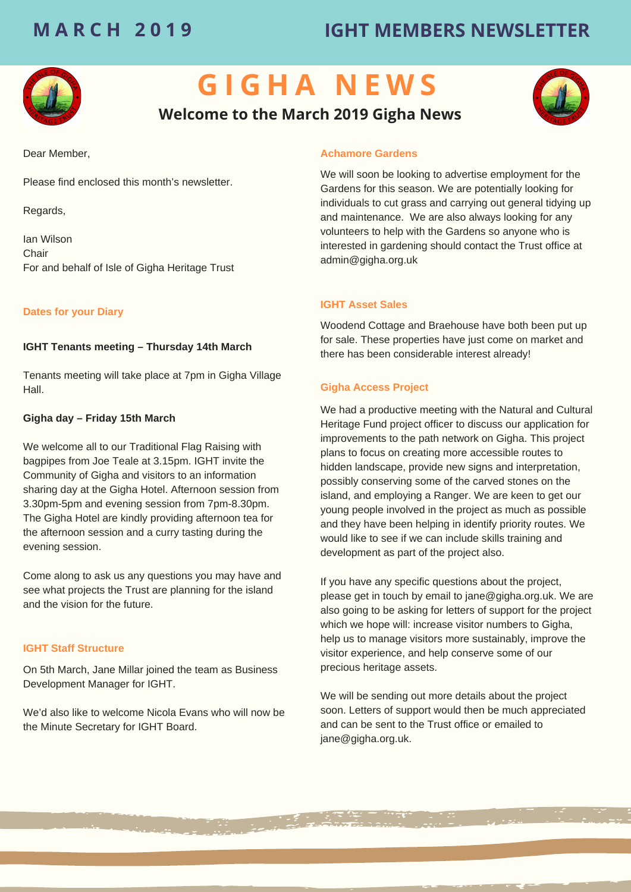# **M A R C H 2 0 1 9 IGHT MEMBERS NEWSLETTER**



# **G I G H A N E W S**

## **Welcome to the March 2019 Gigha News**



Please find enclosed this month's newsletter.

Regards,

Ian Wilson **Chair** For and behalf of Isle of Gigha Heritage Trust

## **Dates for your Diary**

## **IGHT Tenants meeting – Thursday 14th March**

Tenants meeting will take place at 7pm in Gigha Village Hall.

#### **Gigha day – Friday 15th March**

We welcome all to our Traditional Flag Raising with bagpipes from Joe Teale at 3.15pm. IGHT invite the Community of Gigha and visitors to an information sharing day at the Gigha Hotel. Afternoon session from 3.30pm-5pm and evening session from 7pm-8.30pm. The Gigha Hotel are kindly providing afternoon tea for the afternoon session and a curry tasting during the evening session.

Come along to ask us any questions you may have and see what projects the Trust are planning for the island and the vision for the future.

#### **IGHT Staff Structure**

On 5th March, Jane Millar joined the team as Business Development Manager for IGHT.

We'd also like to welcome Nicola Evans who will now be the Minute Secretary for IGHT Board.

#### **Achamore Gardens**

We will soon be looking to advertise employment for the Gardens for this season. We are potentially looking for individuals to cut grass and carrying out general tidying up and maintenance. We are also always looking for any volunteers to help with the Gardens so anyone who is interested in gardening should contact the Trust office at admin@gigha.org.uk

#### **IGHT Asset Sales**

Woodend Cottage and Braehouse have both been put up for sale. These properties have just come on market and there has been considerable interest already!

## **Gigha Access Project**

We had a productive meeting with the Natural and Cultural Heritage Fund project officer to discuss our application for improvements to the path network on Gigha. This project plans to focus on creating more accessible routes to hidden landscape, provide new signs and interpretation, possibly conserving some of the carved stones on the island, and employing a Ranger. We are keen to get our young people involved in the project as much as possible and they have been helping in identify priority routes. We would like to see if we can include skills training and development as part of the project also.

If you have any specific questions about the project, please get in touch by email to jane@gigha.org.uk. We are also going to be asking for letters of support for the project which we hope will: increase visitor numbers to Gigha, help us to manage visitors more sustainably, improve the visitor experience, and help conserve some of our precious heritage assets.

We will be sending out more details about the project soon. Letters of support would then be much appreciated and can be sent to the Trust office or emailed to jane@gigha.org.uk.